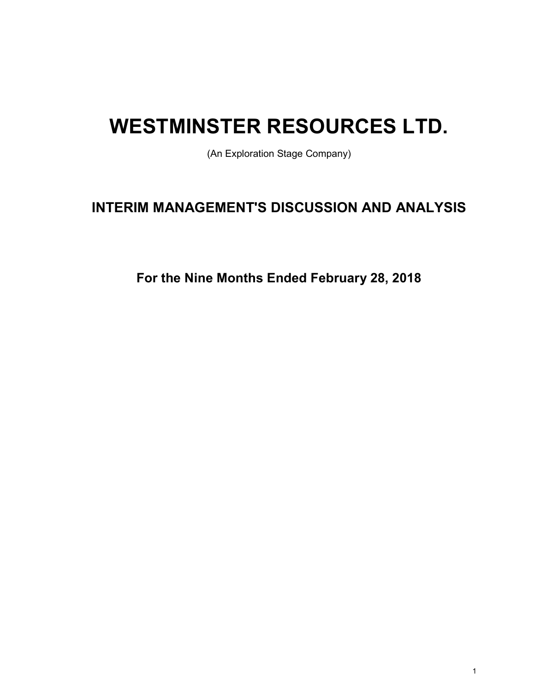# WESTMINSTER RESOURCES LTD.

(An Exploration Stage Company)

## INTERIM MANAGEMENT'S DISCUSSION AND ANALYSIS

For the Nine Months Ended February 28, 2018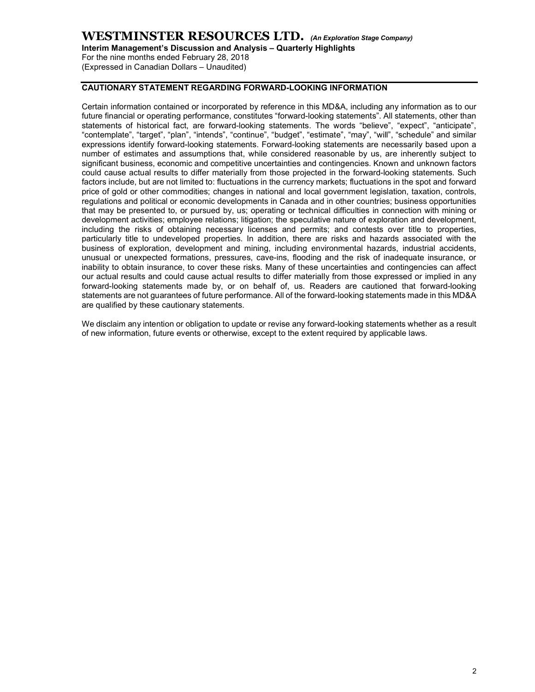Interim Management's Discussion and Analysis – Quarterly Highlights

For the nine months ended February 28, 2018 (Expressed in Canadian Dollars – Unaudited)

#### CAUTIONARY STATEMENT REGARDING FORWARD-LOOKING INFORMATION

Certain information contained or incorporated by reference in this MD&A, including any information as to our future financial or operating performance, constitutes "forward-looking statements". All statements, other than statements of historical fact, are forward-looking statements. The words "believe", "expect", "anticipate", "contemplate", "target", "plan", "intends", "continue", "budget", "estimate", "may", "will", "schedule" and similar expressions identify forward-looking statements. Forward-looking statements are necessarily based upon a number of estimates and assumptions that, while considered reasonable by us, are inherently subject to significant business, economic and competitive uncertainties and contingencies. Known and unknown factors could cause actual results to differ materially from those projected in the forward-looking statements. Such factors include, but are not limited to: fluctuations in the currency markets; fluctuations in the spot and forward price of gold or other commodities; changes in national and local government legislation, taxation, controls, regulations and political or economic developments in Canada and in other countries; business opportunities that may be presented to, or pursued by, us; operating or technical difficulties in connection with mining or development activities; employee relations; litigation; the speculative nature of exploration and development, including the risks of obtaining necessary licenses and permits; and contests over title to properties, particularly title to undeveloped properties. In addition, there are risks and hazards associated with the business of exploration, development and mining, including environmental hazards, industrial accidents, unusual or unexpected formations, pressures, cave-ins, flooding and the risk of inadequate insurance, or inability to obtain insurance, to cover these risks. Many of these uncertainties and contingencies can affect our actual results and could cause actual results to differ materially from those expressed or implied in any forward-looking statements made by, or on behalf of, us. Readers are cautioned that forward-looking statements are not guarantees of future performance. All of the forward-looking statements made in this MD&A are qualified by these cautionary statements.

We disclaim any intention or obligation to update or revise any forward-looking statements whether as a result of new information, future events or otherwise, except to the extent required by applicable laws.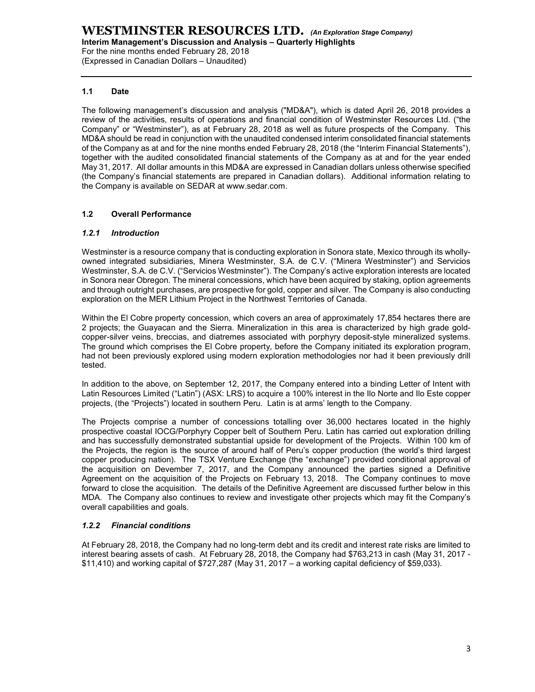For the nine months ended February 28, 2018 (Expressed in Canadian Dollars – Unaudited)

#### 1.1 Date

The following management's discussion and analysis ("MD&A"), which is dated April 26, 2018 provides a review of the activities, results of operations and financial condition of Westminster Resources Ltd. ("the Company" or "Westminster"), as at February 28, 2018 as well as future prospects of the Company. This MD&A should be read in conjunction with the unaudited condensed interim consolidated financial statements of the Company as at and for the nine months ended February 28, 2018 (the "Interim Financial Statements"), together with the audited consolidated financial statements of the Company as at and for the year ended May 31, 2017. All dollar amounts in this MD&A are expressed in Canadian dollars unless otherwise specified (the Company's financial statements are prepared in Canadian dollars). Additional information relating to the Company is available on SEDAR at www.sedar.com.

#### 1.2 Overall Performance

#### 1.2.1 Introduction

Westminster is a resource company that is conducting exploration in Sonora state, Mexico through its whollyowned integrated subsidiaries, Minera Westminster, S.A. de C.V. ("Minera Westminster") and Servicios Westminster, S.A. de C.V. ("Servicios Westminster"). The Company's active exploration interests are located in Sonora near Obregon. The mineral concessions, which have been acquired by staking, option agreements and through outright purchases, are prospective for gold, copper and silver. The Company is also conducting exploration on the MER Lithium Project in the Northwest Territories of Canada.

Within the El Cobre property concession, which covers an area of approximately 17,854 hectares there are 2 projects; the Guayacan and the Sierra. Mineralization in this area is characterized by high grade goldcopper-silver veins, breccias, and diatremes associated with porphyry deposit-style mineralized systems. The ground which comprises the El Cobre property, before the Company initiated its exploration program, had not been previously explored using modern exploration methodologies nor had it been previously drill tested.

In addition to the above, on September 12, 2017, the Company entered into a binding Letter of Intent with Latin Resources Limited ("Latin") (ASX: LRS) to acquire a 100% interest in the Ilo Norte and Ilo Este copper projects, (the "Projects") located in southern Peru. Latin is at arms' length to the Company.

The Projects comprise a number of concessions totalling over 36,000 hectares located in the highly prospective coastal IOCG/Porphyry Copper belt of Southern Peru. Latin has carried out exploration drilling and has successfully demonstrated substantial upside for development of the Projects. Within 100 km of the Projects, the region is the source of around half of Peru's copper production (the world's third largest copper producing nation). The TSX Venture Exchange (the "exchange") provided conditional approval of the acquisition on Devember 7, 2017, and the Company announced the parties signed a Definitive Agreement on the acquisition of the Projects on February 13, 2018. The Company continues to move forward to close the acquisition. The details of the Definitive Agreement are discussed further below in this MDA. The Company also continues to review and investigate other projects which may fit the Company's overall capabilities and goals.

#### 1.2.2 Financial conditions

At February 28, 2018, the Company had no long-term debt and its credit and interest rate risks are limited to interest bearing assets of cash. At February 28, 2018, the Company had \$763,213 in cash (May 31, 2017 - \$11,410) and working capital of \$727,287 (May 31, 2017 – a working capital deficiency of \$59,033).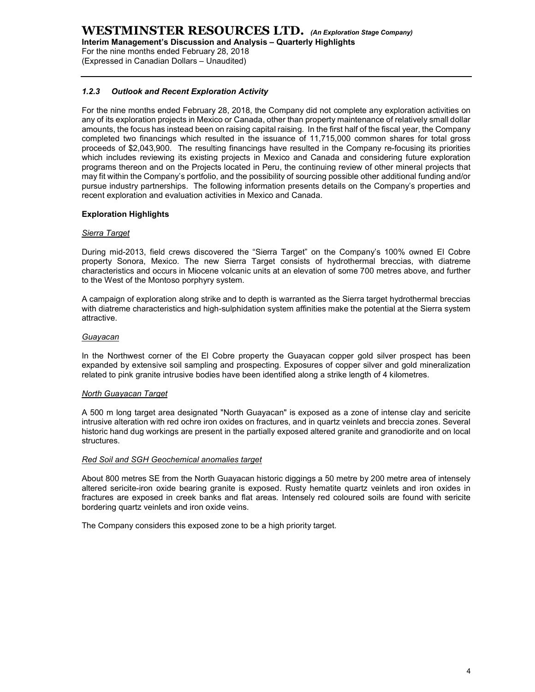Interim Management's Discussion and Analysis – Quarterly Highlights

For the nine months ended February 28, 2018 (Expressed in Canadian Dollars – Unaudited)

#### 1.2.3 Outlook and Recent Exploration Activity

For the nine months ended February 28, 2018, the Company did not complete any exploration activities on any of its exploration projects in Mexico or Canada, other than property maintenance of relatively small dollar amounts, the focus has instead been on raising capital raising. In the first half of the fiscal year, the Company completed two financings which resulted in the issuance of 11,715,000 common shares for total gross proceeds of \$2,043,900. The resulting financings have resulted in the Company re-focusing its priorities which includes reviewing its existing projects in Mexico and Canada and considering future exploration programs thereon and on the Projects located in Peru, the continuing review of other mineral projects that may fit within the Company's portfolio, and the possibility of sourcing possible other additional funding and/or pursue industry partnerships. The following information presents details on the Company's properties and recent exploration and evaluation activities in Mexico and Canada.

#### Exploration Highlights

#### Sierra Target

During mid-2013, field crews discovered the "Sierra Target" on the Company's 100% owned El Cobre property Sonora, Mexico. The new Sierra Target consists of hydrothermal breccias, with diatreme characteristics and occurs in Miocene volcanic units at an elevation of some 700 metres above, and further to the West of the Montoso porphyry system.

A campaign of exploration along strike and to depth is warranted as the Sierra target hydrothermal breccias with diatreme characteristics and high-sulphidation system affinities make the potential at the Sierra system attractive.

#### Guayacan

In the Northwest corner of the El Cobre property the Guayacan copper gold silver prospect has been expanded by extensive soil sampling and prospecting. Exposures of copper silver and gold mineralization related to pink granite intrusive bodies have been identified along a strike length of 4 kilometres.

#### North Guayacan Target

A 500 m long target area designated "North Guayacan" is exposed as a zone of intense clay and sericite intrusive alteration with red ochre iron oxides on fractures, and in quartz veinlets and breccia zones. Several historic hand dug workings are present in the partially exposed altered granite and granodiorite and on local structures.

#### Red Soil and SGH Geochemical anomalies target

About 800 metres SE from the North Guayacan historic diggings a 50 metre by 200 metre area of intensely altered sericite-iron oxide bearing granite is exposed. Rusty hematite quartz veinlets and iron oxides in fractures are exposed in creek banks and flat areas. Intensely red coloured soils are found with sericite bordering quartz veinlets and iron oxide veins.

The Company considers this exposed zone to be a high priority target.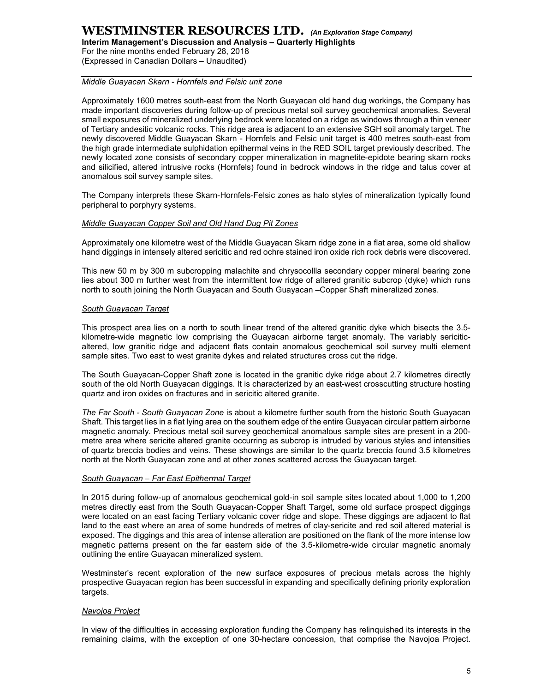Interim Management's Discussion and Analysis – Quarterly Highlights

For the nine months ended February 28, 2018 (Expressed in Canadian Dollars – Unaudited)

#### Middle Guayacan Skarn - Hornfels and Felsic unit zone

Approximately 1600 metres south-east from the North Guayacan old hand dug workings, the Company has made important discoveries during follow-up of precious metal soil survey geochemical anomalies. Several small exposures of mineralized underlying bedrock were located on a ridge as windows through a thin veneer of Tertiary andesitic volcanic rocks. This ridge area is adjacent to an extensive SGH soil anomaly target. The newly discovered Middle Guayacan Skarn - Hornfels and Felsic unit target is 400 metres south-east from the high grade intermediate sulphidation epithermal veins in the RED SOIL target previously described. The newly located zone consists of secondary copper mineralization in magnetite-epidote bearing skarn rocks and silicified, altered intrusive rocks (Hornfels) found in bedrock windows in the ridge and talus cover at anomalous soil survey sample sites.

The Company interprets these Skarn-Hornfels-Felsic zones as halo styles of mineralization typically found peripheral to porphyry systems.

#### Middle Guayacan Copper Soil and Old Hand Dug Pit Zones

Approximately one kilometre west of the Middle Guayacan Skarn ridge zone in a flat area, some old shallow hand diggings in intensely altered sericitic and red ochre stained iron oxide rich rock debris were discovered.

This new 50 m by 300 m subcropping malachite and chrysocollla secondary copper mineral bearing zone lies about 300 m further west from the intermittent low ridge of altered granitic subcrop (dyke) which runs north to south joining the North Guayacan and South Guayacan –Copper Shaft mineralized zones.

#### South Guayacan Target

This prospect area lies on a north to south linear trend of the altered granitic dyke which bisects the 3.5 kilometre-wide magnetic low comprising the Guayacan airborne target anomaly. The variably sericiticaltered, low granitic ridge and adjacent flats contain anomalous geochemical soil survey multi element sample sites. Two east to west granite dykes and related structures cross cut the ridge.

The South Guayacan-Copper Shaft zone is located in the granitic dyke ridge about 2.7 kilometres directly south of the old North Guayacan diggings. It is characterized by an east-west crosscutting structure hosting quartz and iron oxides on fractures and in sericitic altered granite.

The Far South - South Guayacan Zone is about a kilometre further south from the historic South Guayacan Shaft. This target lies in a flat lying area on the southern edge of the entire Guayacan circular pattern airborne magnetic anomaly. Precious metal soil survey geochemical anomalous sample sites are present in a 200 metre area where sericite altered granite occurring as subcrop is intruded by various styles and intensities of quartz breccia bodies and veins. These showings are similar to the quartz breccia found 3.5 kilometres north at the North Guayacan zone and at other zones scattered across the Guayacan target.

#### South Guayacan – Far East Epithermal Target

In 2015 during follow-up of anomalous geochemical gold-in soil sample sites located about 1,000 to 1,200 metres directly east from the South Guayacan-Copper Shaft Target, some old surface prospect diggings were located on an east facing Tertiary volcanic cover ridge and slope. These diggings are adjacent to flat land to the east where an area of some hundreds of metres of clay-sericite and red soil altered material is exposed. The diggings and this area of intense alteration are positioned on the flank of the more intense low magnetic patterns present on the far eastern side of the 3.5-kilometre-wide circular magnetic anomaly outlining the entire Guayacan mineralized system.

Westminster's recent exploration of the new surface exposures of precious metals across the highly prospective Guayacan region has been successful in expanding and specifically defining priority exploration targets.

#### Navojoa Project

In view of the difficulties in accessing exploration funding the Company has relinquished its interests in the remaining claims, with the exception of one 30-hectare concession, that comprise the Navojoa Project.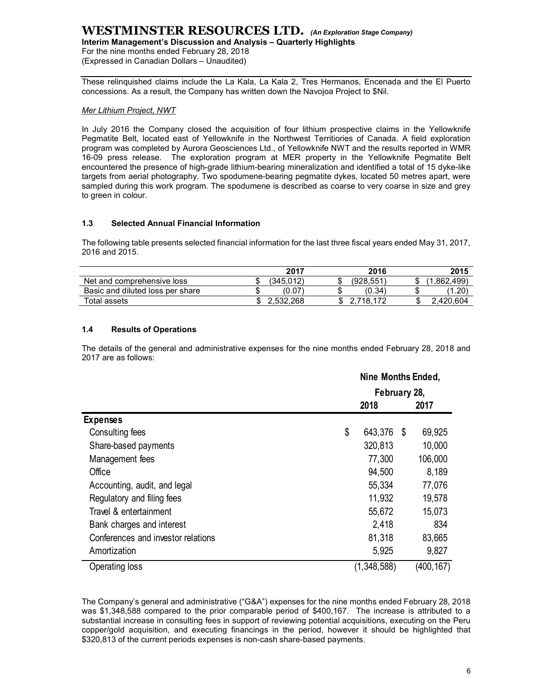Interim Management's Discussion and Analysis – Quarterly Highlights

For the nine months ended February 28, 2018 (Expressed in Canadian Dollars – Unaudited)

These relinquished claims include the La Kala, La Kala 2, Tres Hermanos, Encenada and the El Puerto concessions. As a result, the Company has written down the Navojoa Project to \$Nil.

#### Mer Lithium Project, NWT

In July 2016 the Company closed the acquisition of four lithium prospective claims in the Yellowknife Pegmatite Belt, located east of Yellowknife in the Northwest Territiories of Canada. A field exploration program was completed by Aurora Geosciences Ltd., of Yellowknife NWT and the results reported in WMR 16-09 press release. The exploration program at MER property in the Yellowknife Pegmatite Belt encountered the presence of high-grade lithium-bearing mineralization and identified a total of 15 dyke-like targets from aerial photography. Two spodumene-bearing pegmatite dykes, located 50 metres apart, were sampled during this work program. The spodumene is described as coarse to very coarse in size and grey to green in colour.

#### 1.3 Selected Annual Financial Information

|                                  | 2017      |     | 2016      |    | 2015          |
|----------------------------------|-----------|-----|-----------|----|---------------|
| Net and comprehensive loss       | (345.012) | د . | (928.551) |    | .862.499)     |
| Basic and diluted loss per share | (0.07)    |     | (0.34)    |    | $.20^{\circ}$ |
| Total assets                     | 2.532.268 |     | 718. .    | ۰D | .420.604      |

#### 1.4 Results of Operations

| The following table presents selected financial information for the last three fiscal years ended May 31, 2017,<br>2016 and 2015.<br>2017<br>2016<br>2015<br>(928, 551)<br>(345, 012)<br>(1,862,499)<br>Net and comprehensive loss<br>\$<br>\$<br>\$<br>\$<br>\$<br>\$<br>Basic and diluted loss per share<br>(0.07)<br>(0.34)<br>(1.20)<br>\$2,532,268<br>Total assets<br>\$2,718,172<br>\$<br>2,420,604<br>1.4<br><b>Results of Operations</b><br>The details of the general and administrative expenses for the nine months ended February 28, 2018 and<br>2017 are as follows:<br>Nine Months Ended,<br>February 28,<br>2018<br>2017<br><b>Expenses</b><br>\$<br>643,376 \$<br>Consulting fees<br>69,925<br>Share-based payments<br>320,813<br>10,000<br>77,300<br>106,000<br>Management fees<br>Office<br>94,500<br>8,189<br>Accounting, audit, and legal<br>55,334<br>77,076<br>11,932<br>Regulatory and filing fees<br>19,578<br>Travel & entertainment<br>55,672<br>15,073<br>2,418<br>834<br>Bank charges and interest<br>Conferences and investor relations<br>81,318<br>83,665<br>Amortization<br>5,925<br>9,827 | 1.3<br><b>Selected Annual Financial Information</b> |  |  |  |
|-----------------------------------------------------------------------------------------------------------------------------------------------------------------------------------------------------------------------------------------------------------------------------------------------------------------------------------------------------------------------------------------------------------------------------------------------------------------------------------------------------------------------------------------------------------------------------------------------------------------------------------------------------------------------------------------------------------------------------------------------------------------------------------------------------------------------------------------------------------------------------------------------------------------------------------------------------------------------------------------------------------------------------------------------------------------------------------------------------------------------------|-----------------------------------------------------|--|--|--|
|                                                                                                                                                                                                                                                                                                                                                                                                                                                                                                                                                                                                                                                                                                                                                                                                                                                                                                                                                                                                                                                                                                                             |                                                     |  |  |  |
|                                                                                                                                                                                                                                                                                                                                                                                                                                                                                                                                                                                                                                                                                                                                                                                                                                                                                                                                                                                                                                                                                                                             |                                                     |  |  |  |
|                                                                                                                                                                                                                                                                                                                                                                                                                                                                                                                                                                                                                                                                                                                                                                                                                                                                                                                                                                                                                                                                                                                             |                                                     |  |  |  |
|                                                                                                                                                                                                                                                                                                                                                                                                                                                                                                                                                                                                                                                                                                                                                                                                                                                                                                                                                                                                                                                                                                                             |                                                     |  |  |  |
|                                                                                                                                                                                                                                                                                                                                                                                                                                                                                                                                                                                                                                                                                                                                                                                                                                                                                                                                                                                                                                                                                                                             |                                                     |  |  |  |
|                                                                                                                                                                                                                                                                                                                                                                                                                                                                                                                                                                                                                                                                                                                                                                                                                                                                                                                                                                                                                                                                                                                             |                                                     |  |  |  |
|                                                                                                                                                                                                                                                                                                                                                                                                                                                                                                                                                                                                                                                                                                                                                                                                                                                                                                                                                                                                                                                                                                                             |                                                     |  |  |  |
|                                                                                                                                                                                                                                                                                                                                                                                                                                                                                                                                                                                                                                                                                                                                                                                                                                                                                                                                                                                                                                                                                                                             |                                                     |  |  |  |
|                                                                                                                                                                                                                                                                                                                                                                                                                                                                                                                                                                                                                                                                                                                                                                                                                                                                                                                                                                                                                                                                                                                             |                                                     |  |  |  |
|                                                                                                                                                                                                                                                                                                                                                                                                                                                                                                                                                                                                                                                                                                                                                                                                                                                                                                                                                                                                                                                                                                                             |                                                     |  |  |  |
|                                                                                                                                                                                                                                                                                                                                                                                                                                                                                                                                                                                                                                                                                                                                                                                                                                                                                                                                                                                                                                                                                                                             |                                                     |  |  |  |
|                                                                                                                                                                                                                                                                                                                                                                                                                                                                                                                                                                                                                                                                                                                                                                                                                                                                                                                                                                                                                                                                                                                             |                                                     |  |  |  |
|                                                                                                                                                                                                                                                                                                                                                                                                                                                                                                                                                                                                                                                                                                                                                                                                                                                                                                                                                                                                                                                                                                                             |                                                     |  |  |  |
|                                                                                                                                                                                                                                                                                                                                                                                                                                                                                                                                                                                                                                                                                                                                                                                                                                                                                                                                                                                                                                                                                                                             |                                                     |  |  |  |
|                                                                                                                                                                                                                                                                                                                                                                                                                                                                                                                                                                                                                                                                                                                                                                                                                                                                                                                                                                                                                                                                                                                             |                                                     |  |  |  |
|                                                                                                                                                                                                                                                                                                                                                                                                                                                                                                                                                                                                                                                                                                                                                                                                                                                                                                                                                                                                                                                                                                                             |                                                     |  |  |  |
|                                                                                                                                                                                                                                                                                                                                                                                                                                                                                                                                                                                                                                                                                                                                                                                                                                                                                                                                                                                                                                                                                                                             |                                                     |  |  |  |
|                                                                                                                                                                                                                                                                                                                                                                                                                                                                                                                                                                                                                                                                                                                                                                                                                                                                                                                                                                                                                                                                                                                             |                                                     |  |  |  |
|                                                                                                                                                                                                                                                                                                                                                                                                                                                                                                                                                                                                                                                                                                                                                                                                                                                                                                                                                                                                                                                                                                                             |                                                     |  |  |  |
|                                                                                                                                                                                                                                                                                                                                                                                                                                                                                                                                                                                                                                                                                                                                                                                                                                                                                                                                                                                                                                                                                                                             |                                                     |  |  |  |
| (1,348,588)<br>(400, 167)<br>Operating loss                                                                                                                                                                                                                                                                                                                                                                                                                                                                                                                                                                                                                                                                                                                                                                                                                                                                                                                                                                                                                                                                                 |                                                     |  |  |  |

The Company's general and administrative ("G&A") expenses for the nine months ended February 28, 2018 was \$1,348,588 compared to the prior comparable period of \$400,167. The increase is attributed to a substantial increase in consulting fees in support of reviewing potential acquisitions, executing on the Peru copper/gold acquisition, and executing financings in the period, however it should be highlighted that \$320,813 of the current periods expenses is non-cash share-based payments.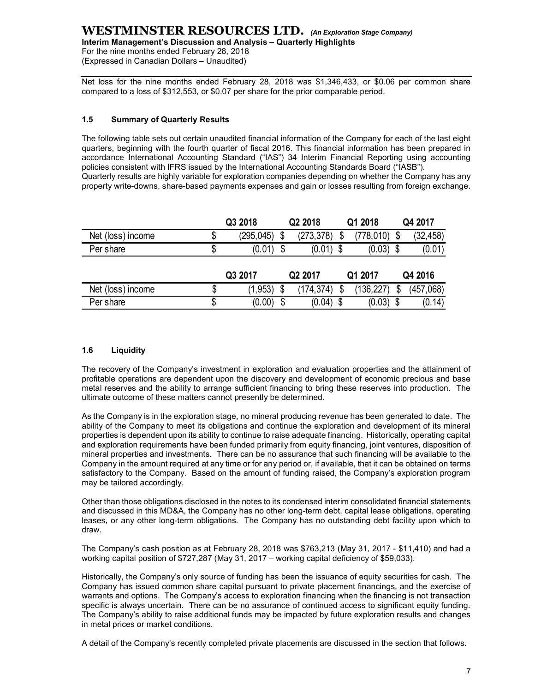#### WESTMINSTER RESOURCES LTD. (An Exploration Stage Company) Interim Management's Discussion and Analysis – Quarterly Highlights

#### 1.5 Summary of Quarterly Results

| <b>WESTMINSTER RESOURCES LTD.</b> (An Exploration Stage Company)<br>Interim Management's Discussion and Analysis - Quarterly Highlights<br>For the nine months ended February 28, 2018<br>(Expressed in Canadian Dollars - Unaudited)                                                                                                 |                  |                    |      |             |                 |  |
|---------------------------------------------------------------------------------------------------------------------------------------------------------------------------------------------------------------------------------------------------------------------------------------------------------------------------------------|------------------|--------------------|------|-------------|-----------------|--|
| Net loss for the nine months ended February 28, 2018 was \$1,346,433, or \$0.06 per common share<br>compared to a loss of \$312,553, or \$0.07 per share for the prior comparable period.                                                                                                                                             |                  |                    |      |             |                 |  |
| 1.5<br><b>Summary of Quarterly Results</b>                                                                                                                                                                                                                                                                                            |                  |                    |      |             |                 |  |
| The following table sets out certain unaudited financial information of the Company for each of the last eight<br>quarters, beginning with the fourth quarter of fiscal 2016. This financial information has been prepared in<br>accordance International Accounting Standard ("IAS") 34 Interim Financial Reporting using accounting |                  |                    |      |             |                 |  |
| policies consistent with IFRS issued by the International Accounting Standards Board ("IASB").<br>Quarterly results are highly variable for exploration companies depending on whether the Company has any<br>property write-downs, share-based payments expenses and gain or losses resulting from foreign exchange.                 | Q3 2018          | Q2 2018            |      | Q1 2018     | Q4 2017         |  |
| Net (loss) income                                                                                                                                                                                                                                                                                                                     | \$<br>(295, 045) | S<br>(273, 378)    | \$   | (778, 010)  | \$<br>(32, 458) |  |
| Per share                                                                                                                                                                                                                                                                                                                             | \$<br>(0.01)     | $(0.01)$ \$<br>\$  |      | $(0.03)$ \$ | (0.01)          |  |
|                                                                                                                                                                                                                                                                                                                                       | Q3 2017          | Q2 2017            |      | Q1 2017     | Q4 2016         |  |
| Net (loss) income                                                                                                                                                                                                                                                                                                                     | \$<br>(1, 953)   | (174, 374)<br>- \$ | - \$ | (136, 227)  | \$<br>(457,068) |  |

#### 1.6 Liquidity

The recovery of the Company's investment in exploration and evaluation properties and the attainment of profitable operations are dependent upon the discovery and development of economic precious and base metal reserves and the ability to arrange sufficient financing to bring these reserves into production. The ultimate outcome of these matters cannot presently be determined.

As the Company is in the exploration stage, no mineral producing revenue has been generated to date. The ability of the Company to meet its obligations and continue the exploration and development of its mineral properties is dependent upon its ability to continue to raise adequate financing. Historically, operating capital and exploration requirements have been funded primarily from equity financing, joint ventures, disposition of mineral properties and investments. There can be no assurance that such financing will be available to the Company in the amount required at any time or for any period or, if available, that it can be obtained on terms satisfactory to the Company. Based on the amount of funding raised, the Company's exploration program may be tailored accordingly.

Other than those obligations disclosed in the notes to its condensed interim consolidated financial statements and discussed in this MD&A, the Company has no other long-term debt, capital lease obligations, operating leases, or any other long-term obligations. The Company has no outstanding debt facility upon which to draw.

The Company's cash position as at February 28, 2018 was \$763,213 (May 31, 2017 - \$11,410) and had a working capital position of \$727,287 (May 31, 2017 – working capital deficiency of \$59,033).

Historically, the Company's only source of funding has been the issuance of equity securities for cash. The Company has issued common share capital pursuant to private placement financings, and the exercise of warrants and options. The Company's access to exploration financing when the financing is not transaction specific is always uncertain. There can be no assurance of continued access to significant equity funding. The Company's ability to raise additional funds may be impacted by future exploration results and changes in metal prices or market conditions.

A detail of the Company's recently completed private placements are discussed in the section that follows.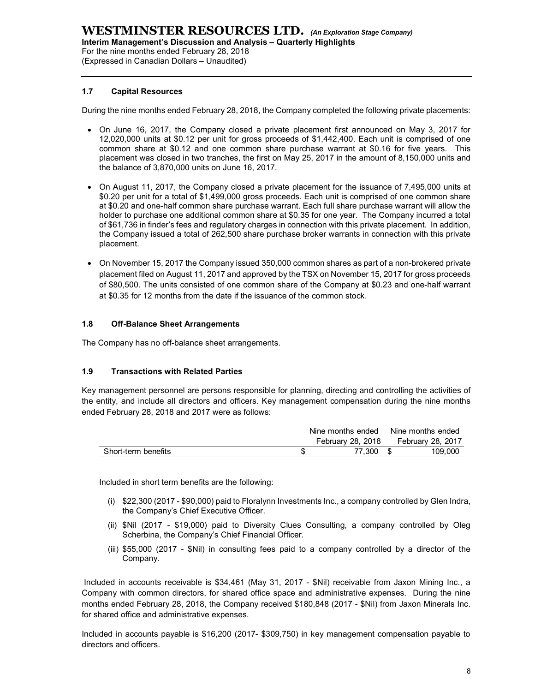#### 1.7 Capital Resources

During the nine months ended February 28, 2018, the Company completed the following private placements:

- On June 16, 2017, the Company closed a private placement first announced on May 3, 2017 for 12,020,000 units at \$0.12 per unit for gross proceeds of \$1,442,400. Each unit is comprised of one common share at \$0.12 and one common share purchase warrant at \$0.16 for five years. This placement was closed in two tranches, the first on May 25, 2017 in the amount of 8,150,000 units and the balance of 3,870,000 units on June 16, 2017.
- On August 11, 2017, the Company closed a private placement for the issuance of 7,495,000 units at \$0.20 per unit for a total of \$1,499,000 gross proceeds. Each unit is comprised of one common share at \$0.20 and one-half common share purchase warrant. Each full share purchase warrant will allow the holder to purchase one additional common share at \$0.35 for one year. The Company incurred a total of \$61,736 in finder's fees and regulatory charges in connection with this private placement. In addition, the Company issued a total of 262,500 share purchase broker warrants in connection with this private placement. at \$0.20 and one-half common share purchase warrant Each full share purchase warrant will allow the<br>of S617.88 in finder's frees and regulatory charges in connection with this private placement. In addition<br>of \$61.78 in f
- On November 15, 2017 the Company issued 350,000 common shares as part of a non-brokered private placement filed on August 11, 2017 and approved by the TSX on November 15, 2017 for gross proceeds of \$80,500. The units consisted of one common share of the Company at \$0.23 and one-half warrant at \$0.35 for 12 months from the date if the issuance of the common stock. or one year. The Company incurred a total<br>tion with this private placement. In addition,<br>eer warrants in connection with this private<br>on shares as part of a non-brokered private<br>(on November 15, 2017 for gross proceeds<br>e C F81,738 in finder's fees and regulatory charges in connection with this private placement. In addition,<br>The Company issued a total of 262,500 share purchase broker warrants in connection with this private<br>lacement.<br>In Nove

#### 1.8 Off-Balance Sheet Arrangements

The Company has no off-balance sheet arrangements.

#### 1.9 Transactions with Related Parties

Key management personnel are persons responsible for planning, directing and controlling the activities of the entity, and include all directors and officers. Key management compensation during the nine months

|                     | Nine months ended | Nine months ended |
|---------------------|-------------------|-------------------|
|                     | February 28, 2018 | February 28, 2017 |
| Short-term benefits | 77.300            | 109.000           |

Included in short term benefits are the following:

- (i) \$22,300 (2017 \$90,000) paid to Floralynn Investments Inc., a company controlled by Glen Indra, the Company's Chief Executive Officer.
- (ii) \$Nil (2017 \$19,000) paid to Diversity Clues Consulting, a company controlled by Oleg Scherbina, the Company's Chief Financial Officer.
- (iii) \$55,000 (2017 \$Nil) in consulting fees paid to a company controlled by a director of the Company.

 Included in accounts receivable is \$34,461 (May 31, 2017 - \$Nil) receivable from Jaxon Mining Inc., a Company with common directors, for shared office space and administrative expenses. During the nine months ended February 28, 2018, the Company received \$180,848 (2017 - \$Nil) from Jaxon Minerals Inc. for shared office and administrative expenses.

Included in accounts payable is \$16,200 (2017- \$309,750) in key management compensation payable to directors and officers.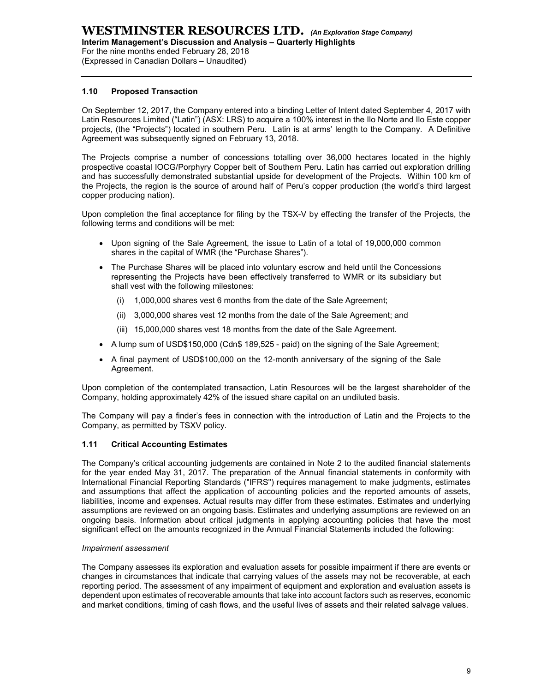(Expressed in Canadian Dollars – Unaudited)

#### 1.10 Proposed Transaction

On September 12, 2017, the Company entered into a binding Letter of Intent dated September 4, 2017 with Latin Resources Limited ("Latin") (ASX: LRS) to acquire a 100% interest in the Ilo Norte and Ilo Este copper projects, (the "Projects") located in southern Peru. Latin is at arms' length to the Company. A Definitive Agreement was subsequently signed on February 13, 2018.

The Projects comprise a number of concessions totalling over 36,000 hectares located in the highly prospective coastal IOCG/Porphyry Copper belt of Southern Peru. Latin has carried out exploration drilling and has successfully demonstrated substantial upside for development of the Projects. Within 100 km of the Projects, the region is the source of around half of Peru's copper production (the world's third largest copper producing nation).

Upon completion the final acceptance for filing by the TSX-V by effecting the transfer of the Projects, the following terms and conditions will be met:

- Upon signing of the Sale Agreement, the issue to Latin of a total of 19,000,000 common shares in the capital of WMR (the "Purchase Shares").
- The Purchase Shares will be placed into voluntary escrow and held until the Concessions representing the Projects have been effectively transferred to WMR or its subsidiary but shall vest with the following milestones:
	- (i) 1,000,000 shares vest 6 months from the date of the Sale Agreement;
	- (ii) 3,000,000 shares vest 12 months from the date of the Sale Agreement; and
	- (iii) 15,000,000 shares vest 18 months from the date of the Sale Agreement.
- A lump sum of USD\$150,000 (Cdn\$ 189,525 paid) on the signing of the Sale Agreement;
- A final payment of USD\$100,000 on the 12-month anniversary of the signing of the Sale Agreement.

Upon completion of the contemplated transaction, Latin Resources will be the largest shareholder of the Company, holding approximately 42% of the issued share capital on an undiluted basis.

The Company will pay a finder's fees in connection with the introduction of Latin and the Projects to the Company, as permitted by TSXV policy.

#### 1.11 Critical Accounting Estimates

The Company's critical accounting judgements are contained in Note 2 to the audited financial statements for the year ended May 31, 2017. The preparation of the Annual financial statements in conformity with International Financial Reporting Standards ("IFRS") requires management to make judgments, estimates and assumptions that affect the application of accounting policies and the reported amounts of assets, liabilities, income and expenses. Actual results may differ from these estimates. Estimates and underlying assumptions are reviewed on an ongoing basis. Estimates and underlying assumptions are reviewed on an ongoing basis. Information about critical judgments in applying accounting policies that have the most significant effect on the amounts recognized in the Annual Financial Statements included the following:

#### Impairment assessment

The Company assesses its exploration and evaluation assets for possible impairment if there are events or changes in circumstances that indicate that carrying values of the assets may not be recoverable, at each reporting period. The assessment of any impairment of equipment and exploration and evaluation assets is dependent upon estimates of recoverable amounts that take into account factors such as reserves, economic and market conditions, timing of cash flows, and the useful lives of assets and their related salvage values.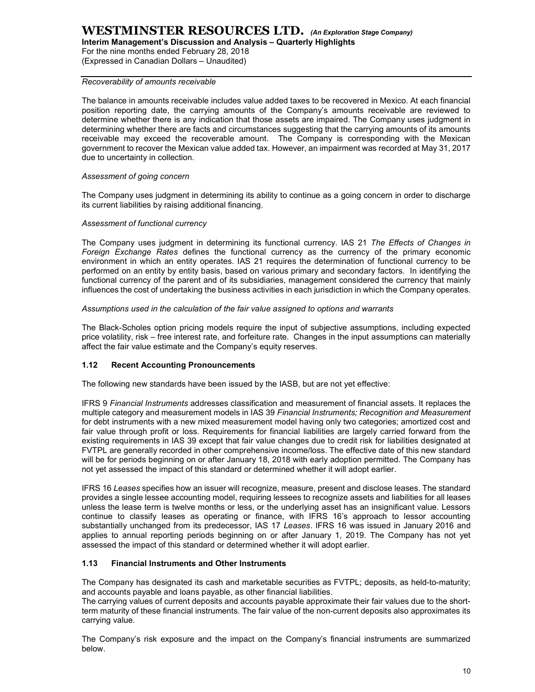Interim Management's Discussion and Analysis – Quarterly Highlights

For the nine months ended February 28, 2018 (Expressed in Canadian Dollars – Unaudited)

#### Recoverability of amounts receivable

The balance in amounts receivable includes value added taxes to be recovered in Mexico. At each financial position reporting date, the carrying amounts of the Company's amounts receivable are reviewed to determine whether there is any indication that those assets are impaired. The Company uses judgment in determining whether there are facts and circumstances suggesting that the carrying amounts of its amounts receivable may exceed the recoverable amount. The Company is corresponding with the Mexican government to recover the Mexican value added tax. However, an impairment was recorded at May 31, 2017 due to uncertainty in collection.

#### Assessment of going concern

The Company uses judgment in determining its ability to continue as a going concern in order to discharge its current liabilities by raising additional financing.

#### Assessment of functional currency

The Company uses judgment in determining its functional currency. IAS 21 The Effects of Changes in Foreign Exchange Rates defines the functional currency as the currency of the primary economic environment in which an entity operates. IAS 21 requires the determination of functional currency to be performed on an entity by entity basis, based on various primary and secondary factors. In identifying the functional currency of the parent and of its subsidiaries, management considered the currency that mainly influences the cost of undertaking the business activities in each jurisdiction in which the Company operates.

#### Assumptions used in the calculation of the fair value assigned to options and warrants

The Black-Scholes option pricing models require the input of subjective assumptions, including expected price volatility, risk – free interest rate, and forfeiture rate. Changes in the input assumptions can materially affect the fair value estimate and the Company's equity reserves.

#### 1.12 Recent Accounting Pronouncements

The following new standards have been issued by the IASB, but are not yet effective:

IFRS 9 Financial Instruments addresses classification and measurement of financial assets. It replaces the multiple category and measurement models in IAS 39 Financial Instruments; Recognition and Measurement for debt instruments with a new mixed measurement model having only two categories; amortized cost and fair value through profit or loss. Requirements for financial liabilities are largely carried forward from the existing requirements in IAS 39 except that fair value changes due to credit risk for liabilities designated at FVTPL are generally recorded in other comprehensive income/loss. The effective date of this new standard will be for periods beginning on or after January 18, 2018 with early adoption permitted. The Company has not yet assessed the impact of this standard or determined whether it will adopt earlier.

IFRS 16 Leases specifies how an issuer will recognize, measure, present and disclose leases. The standard provides a single lessee accounting model, requiring lessees to recognize assets and liabilities for all leases unless the lease term is twelve months or less, or the underlying asset has an insignificant value. Lessors continue to classify leases as operating or finance, with IFRS 16's approach to lessor accounting substantially unchanged from its predecessor, IAS 17 Leases. IFRS 16 was issued in January 2016 and applies to annual reporting periods beginning on or after January 1, 2019. The Company has not yet assessed the impact of this standard or determined whether it will adopt earlier.

#### 1.13 Financial Instruments and Other Instruments

The Company has designated its cash and marketable securities as FVTPL; deposits, as held-to-maturity; and accounts payable and loans payable, as other financial liabilities.

The carrying values of current deposits and accounts payable approximate their fair values due to the shortterm maturity of these financial instruments. The fair value of the non-current deposits also approximates its carrying value.

The Company's risk exposure and the impact on the Company's financial instruments are summarized below.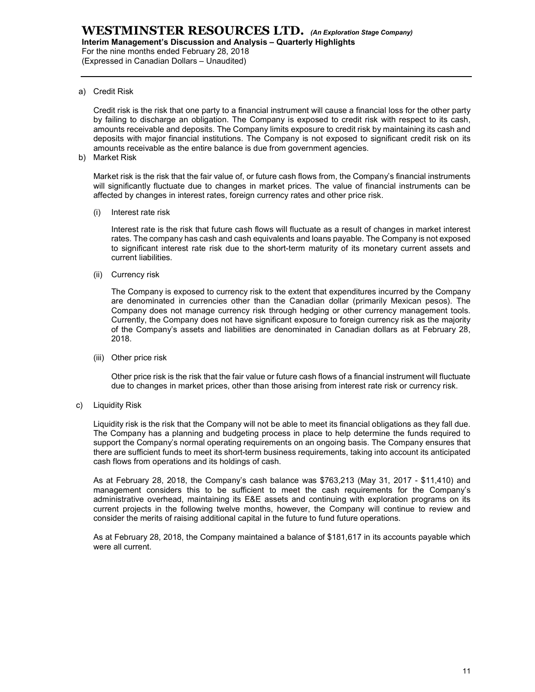For the nine months ended February 28, 2018 (Expressed in Canadian Dollars – Unaudited)

a) Credit Risk

Credit risk is the risk that one party to a financial instrument will cause a financial loss for the other party by failing to discharge an obligation. The Company is exposed to credit risk with respect to its cash, amounts receivable and deposits. The Company limits exposure to credit risk by maintaining its cash and deposits with major financial institutions. The Company is not exposed to significant credit risk on its amounts receivable as the entire balance is due from government agencies.

b) Market Risk

Market risk is the risk that the fair value of, or future cash flows from, the Company's financial instruments will significantly fluctuate due to changes in market prices. The value of financial instruments can be affected by changes in interest rates, foreign currency rates and other price risk.

(i) Interest rate risk

Interest rate is the risk that future cash flows will fluctuate as a result of changes in market interest rates. The company has cash and cash equivalents and loans payable. The Company is not exposed to significant interest rate risk due to the short-term maturity of its monetary current assets and current liabilities.

(ii) Currency risk

The Company is exposed to currency risk to the extent that expenditures incurred by the Company are denominated in currencies other than the Canadian dollar (primarily Mexican pesos). The Company does not manage currency risk through hedging or other currency management tools. Currently, the Company does not have significant exposure to foreign currency risk as the majority of the Company's assets and liabilities are denominated in Canadian dollars as at February 28, 2018.

(iii) Other price risk

Other price risk is the risk that the fair value or future cash flows of a financial instrument will fluctuate due to changes in market prices, other than those arising from interest rate risk or currency risk.

c) Liquidity Risk

Liquidity risk is the risk that the Company will not be able to meet its financial obligations as they fall due. The Company has a planning and budgeting process in place to help determine the funds required to support the Company's normal operating requirements on an ongoing basis. The Company ensures that there are sufficient funds to meet its short-term business requirements, taking into account its anticipated cash flows from operations and its holdings of cash.

As at February 28, 2018, the Company's cash balance was \$763,213 (May 31, 2017 - \$11,410) and management considers this to be sufficient to meet the cash requirements for the Company's administrative overhead, maintaining its E&E assets and continuing with exploration programs on its current projects in the following twelve months, however, the Company will continue to review and consider the merits of raising additional capital in the future to fund future operations.

As at February 28, 2018, the Company maintained a balance of \$181,617 in its accounts payable which were all current.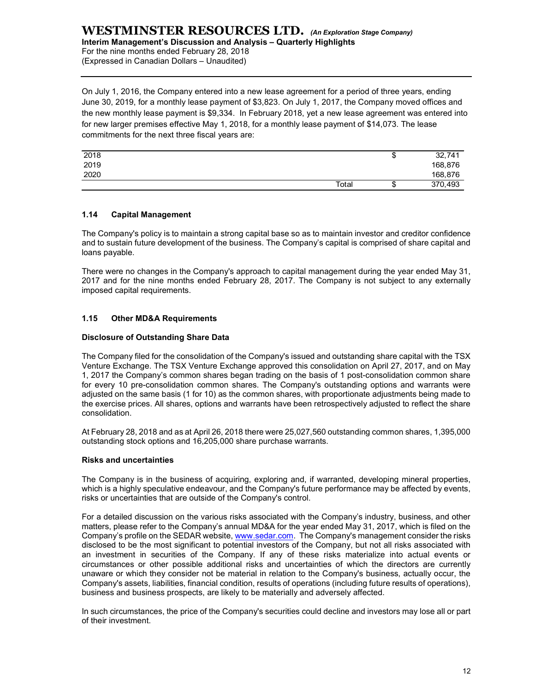#### WESTMINSTER RESOURCES LTD. (An Exploration Stage Company) Interim Management's Discussion and Analysis – Quarterly Highlights

For the nine months ended February 28, 2018 (Expressed in Canadian Dollars – Unaudited)

On July 1, 2016, the Company entered into a new lease agreement for a period of three years, ending June 30, 2019, for a monthly lease payment of \$3,823. On July 1, 2017, the Company moved offices and the new monthly lease payment is \$9,334. In February 2018, yet a new lease agreement was entered into for new larger premises effective May 1, 2018, for a monthly lease payment of \$14,073. The lease commitments for the next three fiscal years are: WESTIMINSTER RESOURCES LTD. (An Exploration Stage Company)<br>
Interim Management's Discussion and Analysis – Quarterly Highlights<br>
Expressed in Canadian Dollars – Unaudited)<br>
Expressed in Canadian Dollars – Unaudited)<br>
Dn Ju WESTIMINSTER RESOURCES LTD. (An Exploration Stage Company)<br>
Interim Management's Discussion and Analysis – Quarterly Highlights<br>
Expressed in Canadian Dollars – Unaudited)<br>
Don July 1, 2016, the Company entered into a new **Contains Stage Company)**<br> **Sights**<br>
The Company moved offices and<br>
The Company moved offices and<br>
In the Sage agreement was entered into<br>
Total<br>
Total<br>
Total<br>
Total<br>
Total<br>
Total<br>
Total<br>
Total<br>
Total<br>
Total<br>
Total<br>
Total<br>

| 2018 |       | ۰D | 32,741  |
|------|-------|----|---------|
| 2019 |       |    | 168,876 |
| 2020 |       |    | 168,876 |
|      | Total | ۰D | 370,493 |

#### 1.14 Capital Management

The Company's policy is to maintain a strong capital base so as to maintain investor and creditor confidence and to sustain future development of the business. The Company's capital is comprised of share capital and loans payable.

There were no changes in the Company's approach to capital management during the year ended May 31, 2017 and for the nine months ended February 28, 2017. The Company is not subject to any externally imposed capital requirements.

#### 1.15 Other MD&A Requirements

#### Disclosure of Outstanding Share Data

The Company filed for the consolidation of the Company's issued and outstanding share capital with the TSX Venture Exchange. The TSX Venture Exchange approved this consolidation on April 27, 2017, and on May 1, 2017 the Company's common shares began trading on the basis of 1 post-consolidation common share for every 10 pre-consolidation common shares. The Company's outstanding options and warrants were adjusted on the same basis (1 for 10) as the common shares, with proportionate adjustments being made to the exercise prices. All shares, options and warrants have been retrospectively adjusted to reflect the share consolidation.

At February 28, 2018 and as at April 26, 2018 there were 25,027,560 outstanding common shares, 1,395,000 outstanding stock options and 16,205,000 share purchase warrants.

#### Risks and uncertainties

The Company is in the business of acquiring, exploring and, if warranted, developing mineral properties, which is a highly speculative endeavour, and the Company's future performance may be affected by events, risks or uncertainties that are outside of the Company's control.

For a detailed discussion on the various risks associated with the Company's industry, business, and other matters, please refer to the Company's annual MD&A for the year ended May 31, 2017, which is filed on the Company's profile on the SEDAR website, www.sedar.com. The Company's management consider the risks disclosed to be the most significant to potential investors of the Company, but not all risks associated with an investment in securities of the Company. If any of these risks materialize into actual events or circumstances or other possible additional risks and uncertainties of which the directors are currently unaware or which they consider not be material in relation to the Company's business, actually occur, the Company's assets, liabilities, financial condition, results of operations (including future results of operations), business and business prospects, are likely to be materially and adversely affected.

In such circumstances, the price of the Company's securities could decline and investors may lose all or part of their investment.